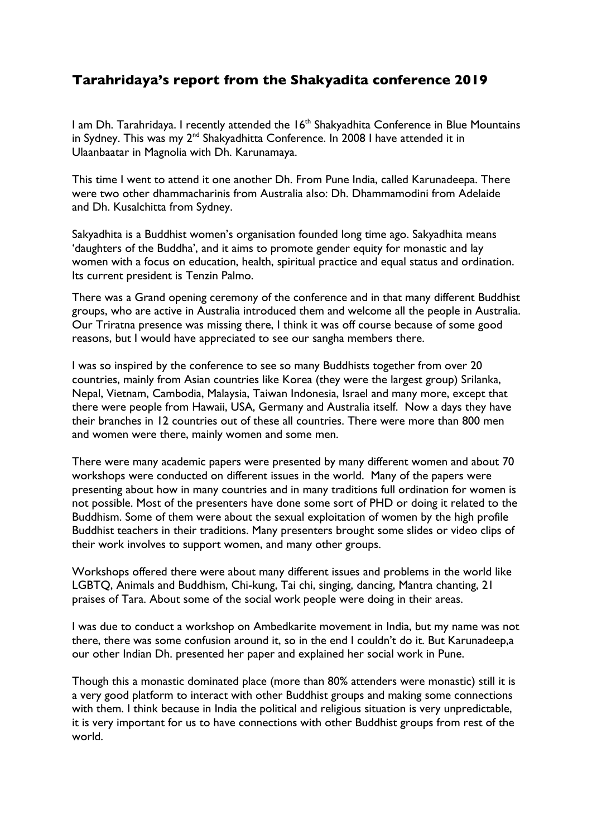## **Tarahridaya's report from the Shakyadita conference 2019**

I am Dh. Tarahridaya. I recently attended the 16<sup>th</sup> Shakyadhita Conference in Blue Mountains in Sydney. This was my 2<sup>nd</sup> Shakyadhitta Conference. In 2008 I have attended it in Ulaanbaatar in Magnolia with Dh. Karunamaya.

This time I went to attend it one another Dh. From Pune India, called Karunadeepa. There were two other dhammacharinis from Australia also: Dh. Dhammamodini from Adelaide and Dh. Kusalchitta from Sydney.

Sakyadhita is a Buddhist women's organisation founded long time ago. Sakyadhita means 'daughters of the Buddha', and it aims to promote gender equity for monastic and lay women with a focus on education, health, spiritual practice and equal status and ordination. Its current president is Tenzin Palmo.

There was a Grand opening ceremony of the conference and in that many different Buddhist groups, who are active in Australia introduced them and welcome all the people in Australia. Our Triratna presence was missing there, I think it was off course because of some good reasons, but I would have appreciated to see our sangha members there.

I was so inspired by the conference to see so many Buddhists together from over 20 countries, mainly from Asian countries like Korea (they were the largest group) Srilanka, Nepal, Vietnam, Cambodia, Malaysia, Taiwan Indonesia, Israel and many more, except that there were people from Hawaii, USA, Germany and Australia itself. Now a days they have their branches in 12 countries out of these all countries. There were more than 800 men and women were there, mainly women and some men.

There were many academic papers were presented by many different women and about 70 workshops were conducted on different issues in the world. Many of the papers were presenting about how in many countries and in many traditions full ordination for women is not possible. Most of the presenters have done some sort of PHD or doing it related to the Buddhism. Some of them were about the sexual exploitation of women by the high profile Buddhist teachers in their traditions. Many presenters brought some slides or video clips of their work involves to support women, and many other groups.

Workshops offered there were about many different issues and problems in the world like LGBTQ, Animals and Buddhism, Chi-kung, Tai chi, singing, dancing, Mantra chanting, 21 praises of Tara. About some of the social work people were doing in their areas.

I was due to conduct a workshop on Ambedkarite movement in India, but my name was not there, there was some confusion around it, so in the end I couldn't do it. But Karunadeep,a our other Indian Dh. presented her paper and explained her social work in Pune.

Though this a monastic dominated place (more than 80% attenders were monastic) still it is a very good platform to interact with other Buddhist groups and making some connections with them. I think because in India the political and religious situation is very unpredictable, it is very important for us to have connections with other Buddhist groups from rest of the world.